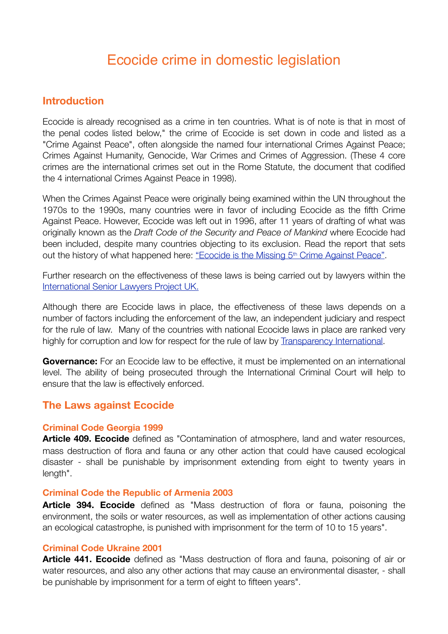# Ecocide crime in domestic legislation

# **Introduction**

Ecocide is already recognised as a crime in ten countries. What is of note is that in most of the penal codes listed below," the crime of Ecocide is set down in code and listed as a "Crime Against Peace", often alongside the named four international Crimes Against Peace; Crimes Against Humanity, Genocide, War Crimes and Crimes of Aggression. (These 4 core crimes are the international crimes set out in the Rome Statute, the document that codified the 4 international Crimes Against Peace in 1998).

When the Crimes Against Peace were originally being examined within the UN throughout the 1970s to the 1990s, many countries were in favor of including Ecocide as the fifth Crime Against Peace. However, Ecocide was left out in 1996, after 11 years of drafting of what was originally known as the *Draft Code of the Security and Peace of Mankind* where Ecocide had been included, despite many countries objecting to its exclusion. Read the report that sets out the history of what happened here: "Ecocide is the Missing 5<sup>th</sup> Crime Against Peace".

Further research on the effectiveness of these laws is being carried out by lawyers within the [International Senior Lawyers Project UK.](http://www.islp-uk.org/)

Although there are Ecocide laws in place, the effectiveness of these laws depends on a number of factors including the enforcement of the law, an independent judiciary and respect for the rule of law. Many of the countries with national Ecocide laws in place are ranked very highly for corruption and low for respect for the rule of law by [Transparency International](http://www.transparency.org/country).

**Governance:** For an Ecocide law to be effective, it must be implemented on an international level. The ability of being prosecuted through the International Criminal Court will help to ensure that the law is effectively enforced.

# **The Laws against Ecocide**

## **Criminal Code Georgia 1999**

**Article 409. Ecocide** defined as "Contamination of atmosphere, land and water resources, mass destruction of flora and fauna or any other action that could have caused ecological disaster - shall be punishable by imprisonment extending from eight to twenty years in length".

#### **Criminal Code the Republic of Armenia 2003**

**Article 394. Ecocide** defined as "Mass destruction of flora or fauna, poisoning the environment, the soils or water resources, as well as implementation of other actions causing an ecological catastrophe, is punished with imprisonment for the term of 10 to 15 years".

#### **Criminal Code Ukraine 2001**

**Article 441. Ecocide** defined as "Mass destruction of flora and fauna, poisoning of air or water resources, and also any other actions that may cause an environmental disaster, - shall be punishable by imprisonment for a term of eight to fifteen years".